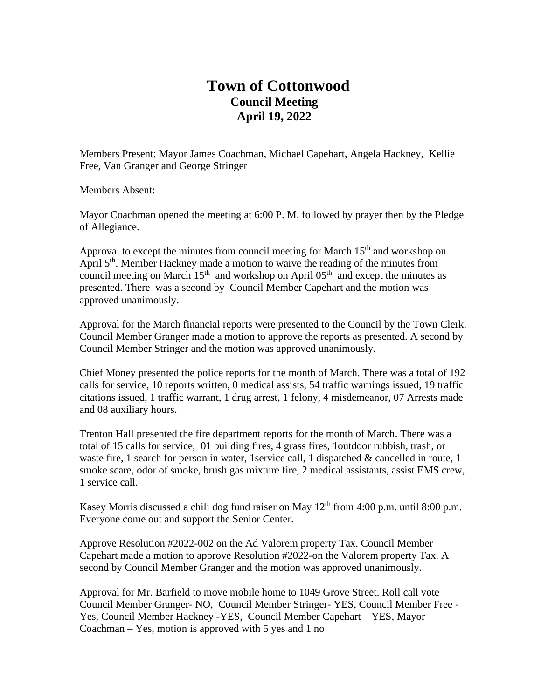## **Town of Cottonwood Council Meeting April 19, 2022**

Members Present: Mayor James Coachman, Michael Capehart, Angela Hackney, Kellie Free, Van Granger and George Stringer

Members Absent:

Mayor Coachman opened the meeting at 6:00 P. M. followed by prayer then by the Pledge of Allegiance.

Approval to except the minutes from council meeting for March  $15<sup>th</sup>$  and workshop on April 5<sup>th</sup>. Member Hackney made a motion to waive the reading of the minutes from council meeting on March  $15<sup>th</sup>$  and workshop on April  $05<sup>th</sup>$  and except the minutes as presented. There was a second by Council Member Capehart and the motion was approved unanimously.

Approval for the March financial reports were presented to the Council by the Town Clerk. Council Member Granger made a motion to approve the reports as presented. A second by Council Member Stringer and the motion was approved unanimously.

Chief Money presented the police reports for the month of March. There was a total of 192 calls for service, 10 reports written, 0 medical assists, 54 traffic warnings issued, 19 traffic citations issued, 1 traffic warrant, 1 drug arrest, 1 felony, 4 misdemeanor, 07 Arrests made and 08 auxiliary hours.

Trenton Hall presented the fire department reports for the month of March. There was a total of 15 calls for service, 01 building fires, 4 grass fires, 1outdoor rubbish, trash, or waste fire, 1 search for person in water, 1 service call, 1 dispatched  $\&$  cancelled in route, 1 smoke scare, odor of smoke, brush gas mixture fire, 2 medical assistants, assist EMS crew, 1 service call.

Kasey Morris discussed a chili dog fund raiser on May  $12<sup>th</sup>$  from 4:00 p.m. until 8:00 p.m. Everyone come out and support the Senior Center.

Approve Resolution #2022-002 on the Ad Valorem property Tax. Council Member Capehart made a motion to approve Resolution #2022-on the Valorem property Tax. A second by Council Member Granger and the motion was approved unanimously.

Approval for Mr. Barfield to move mobile home to 1049 Grove Street. Roll call vote Council Member Granger- NO, Council Member Stringer- YES, Council Member Free - Yes, Council Member Hackney -YES, Council Member Capehart – YES, Mayor Coachman – Yes, motion is approved with  $5$  yes and  $1$  no